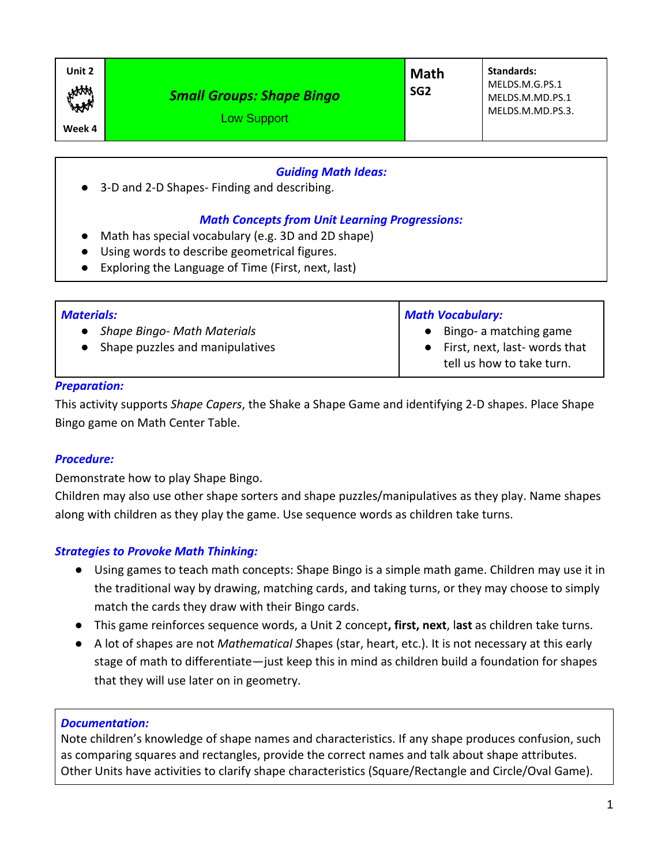### *Guiding Math Ideas:*

● 3-D and 2-D Shapes- Finding and describing.

## *Math Concepts from Unit Learning Progressions:*

- Math has special vocabulary (e.g. 3D and 2D shape)
- Using words to describe geometrical figures.
- Exploring the Language of Time (First, next, last)

| <b>Materials:</b>                                                  | <b>Math Vocabulary:</b>                                                                 |
|--------------------------------------------------------------------|-----------------------------------------------------------------------------------------|
| • Shape Bingo- Math Materials<br>• Shape puzzles and manipulatives | • Bingo- a matching game<br>• First, next, last-words that<br>tell us how to take turn. |

#### *Preparation:*

This activity supports *Shape Capers*, the Shake a Shape Game and identifying 2-D shapes. Place Shape Bingo game on Math Center Table.

#### *Procedure:*

Demonstrate how to play Shape Bingo.

Children may also use other shape sorters and shape puzzles/manipulatives as they play. Name shapes along with children as they play the game. Use sequence words as children take turns.

# *Strategies to Provoke Math Thinking:*

- Using games to teach math concepts: Shape Bingo is a simple math game. Children may use it in the traditional way by drawing, matching cards, and taking turns, or they may choose to simply match the cards they draw with their Bingo cards.
- This game reinforces sequence words, a Unit 2 concept**, first, next**, l**ast** as children take turns.
- A lot of shapes are not *Mathematical S*hapes (star, heart, etc.). It is not necessary at this early stage of math to differentiate—just keep this in mind as children build a foundation for shapes that they will use later on in geometry.

#### *Documentation:*

Note children's knowledge of shape names and characteristics. If any shape produces confusion, such as comparing squares and rectangles, provide the correct names and talk about shape attributes. Other Units have activities to clarify shape characteristics (Square/Rectangle and Circle/Oval Game).